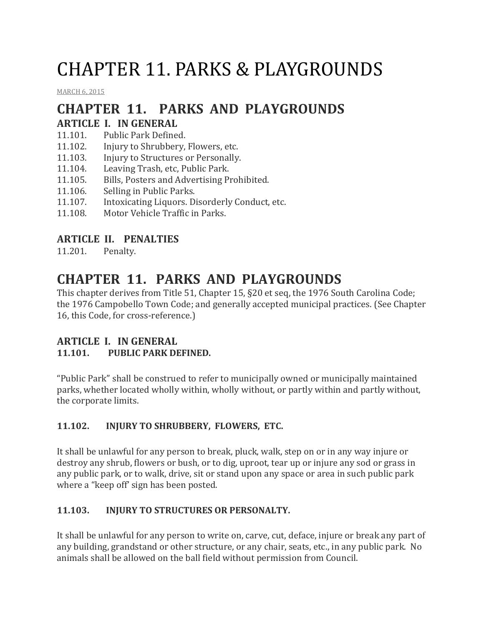# CHAPTER 11. PARKS & PLAYGROUNDS

[MARCH](http://townofcampobello.us/chapter-11-parks-playgrounds/) 6, 2015

## **CHAPTER 11. PARKS AND PLAYGROUNDS**

### **ARTICLE I. IN GENERAL**

- 11.101. Public Park Defined.
- 11.102. Injury to Shrubbery, Flowers, etc.
- 11.103. Injury to Structures or Personally.
- 11.104. Leaving Trash, etc, Public Park.
- 11.105. Bills, Posters and Advertising Prohibited.
- 11.106. Selling in Public Parks.
- 11.107. Intoxicating Liquors. Disorderly Conduct, etc.
- 11.108. Motor Vehicle Traffic in Parks.

#### **ARTICLE II. PENALTIES**

11.201. Penalty.

### **CHAPTER 11. PARKS AND PLAYGROUNDS**

This chapter derives from Title 51, Chapter 15, §20 et seq, the 1976 South Carolina Code; the 1976 Campobello Town Code; and generally accepted municipal practices. (See Chapter 16, this Code, for cross-reference.)

#### **ARTICLE I. IN GENERAL 11.101. PUBLIC PARK DEFINED.**

"Public Park" shall be construed to refer to municipally owned or municipally maintained parks, whether located wholly within, wholly without, or partly within and partly without, the corporate limits.

#### **11.102. INJURY TO SHRUBBERY, FLOWERS, ETC.**

It shall be unlawful for any person to break, pluck, walk, step on or in any way injure or destroy any shrub, flowers or bush, or to dig, uproot, tear up or injure any sod or grass in any public park, or to walk, drive, sit or stand upon any space or area in such public park where a "keep off' sign has been posted.

#### **11.103. INJURY TO STRUCTURES OR PERSONALTY.**

It shall be unlawful for any person to write on, carve, cut, deface, injure or break any part of any building, grandstand or other structure, or any chair, seats, etc., in any public park. No animals shall be allowed on the ball field without permission from Council.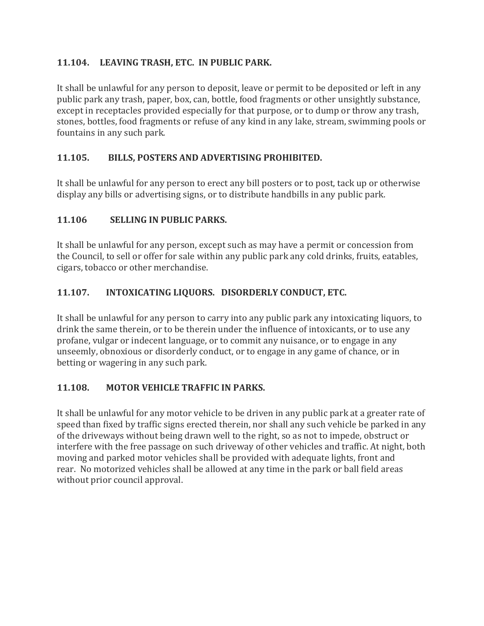#### **11.104. LEAVING TRASH, ETC. IN PUBLIC PARK.**

It shall be unlawful for any person to deposit, leave or permit to be deposited or left in any public park any trash, paper, box, can, bottle, food fragments or other unsightly substance, except in receptacles provided especially for that purpose, or to dump or throw any trash, stones, bottles, food fragments or refuse of any kind in any lake, stream, swimming pools or fountains in any such park.

#### **11.105. BILLS, POSTERS AND ADVERTISING PROHIBITED.**

It shall be unlawful for any person to erect any bill posters or to post, tack up or otherwise display any bills or advertising signs, or to distribute handbills in any public park.

#### **11.106 SELLING IN PUBLIC PARKS.**

It shall be unlawful for any person, except such as may have a permit or concession from the Council, to sell or offer for sale within any public park any cold drinks, fruits, eatables, cigars, tobacco or other merchandise.

#### **11.107. INTOXICATING LIQUORS. DISORDERLY CONDUCT, ETC.**

It shall be unlawful for any person to carry into any public park any intoxicating liquors, to drink the same therein, or to be therein under the influence of intoxicants, or to use any profane, vulgar or indecent language, or to commit any nuisance, or to engage in any unseemly, obnoxious or disorderly conduct, or to engage in any game of chance, or in betting or wagering in any such park.

#### **11.108. MOTOR VEHICLE TRAFFIC IN PARKS.**

It shall be unlawful for any motor vehicle to be driven in any public park at a greater rate of speed than fixed by traffic signs erected therein, nor shall any such vehicle be parked in any of the driveways without being drawn well to the right, so as not to impede, obstruct or interfere with the free passage on such driveway of other vehicles and traffic. At night, both moving and parked motor vehicles shall be provided with adequate lights, front and rear. No motorized vehicles shall be allowed at any time in the park or ball field areas without prior council approval.